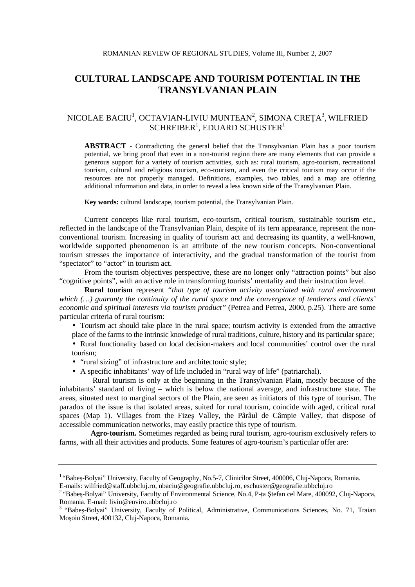# **CULTURAL LANDSCAPE AND TOURISM POTENTIAL IN THE TRANSYLVANIAN PLAIN**

## NICOLAE BACIU<sup>1</sup>, OCTAVIAN-LIVIU MUNTEAN<sup>2</sup>, SIMONA CREȚA<sup>3</sup>, WILFRIED SCHREIBER $^1$ , EDUARD SCHUSTER $^1$

**ABSTRACT** - Contradicting the general belief that the Transylvanian Plain has a poor tourism potential, we bring proof that even in a non-tourist region there are many elements that can provide a generous support for a variety of tourism activities, such as: rural tourism, agro-tourism, recreational tourism, cultural and religious tourism, eco-tourism, and even the critical tourism may occur if the resources are not properly managed. Definitions, examples, two tables, and a map are offering additional information and data, in order to reveal a less known side of the Transylvanian Plain.

**Key words:** cultural landscape, tourism potential, the Transylvanian Plain.

Current concepts like rural tourism, eco-tourism, critical tourism, sustainable tourism etc., reflected in the landscape of the Transylvanian Plain, despite of its tern appearance, represent the nonconventional tourism. Increasing in quality of tourism act and decreasing its quantity, a well-known, worldwide supported phenomenon is an attribute of the new tourism concepts. Non-conventional tourism stresses the importance of interactivity, and the gradual transformation of the tourist from "spectator" to "actor" in tourism act.

From the tourism objectives perspective, these are no longer only "attraction points" but also "cognitive points", with an active role in transforming tourists' mentality and their instruction level.

**Rural tourism** represent *"that type of tourism activity associated with rural environment which (…) guaranty the continuity of the rural space and the convergence of tenderers and clients' economic and spiritual interests via tourism product"* (Petrea and Petrea, 2000, p.25). There are some particular criteria of rural tourism:

• Tourism act should take place in the rural space; tourism activity is extended from the attractive place of the farms to the intrinsic knowledge of rural traditions, culture, history and its particular space;

• Rural functionality based on local decision-makers and local communities' control over the rural tourism;

- "rural sizing" of infrastructure and architectonic style;
- A specific inhabitants' way of life included in "rural way of life" (patriarchal).

 Rural tourism is only at the beginning in the Transylvanian Plain, mostly because of the inhabitants' standard of living – which is below the national average, and infrastructure state. The areas, situated next to marginal sectors of the Plain, are seen as initiators of this type of tourism. The paradox of the issue is that isolated areas, suited for rural tourism, coincide with aged, critical rural spaces (Map 1). Villages from the Fizeş Valley, the Pârâul de Câmpie Valley, that dispose of accessible communication networks, may easily practice this type of tourism.

**Agro-tourism.** Sometimes regarded as being rural tourism, agro-tourism exclusively refers to farms, with all their activities and products. Some features of agro-tourism's particular offer are:

<sup>&</sup>lt;sup>1</sup> "Babes-Bolyai" University, Faculty of Geography, No.5-7, Clinicilor Street, 400006, Cluj-Napoca, Romania.

E-mails: wilfried@staff.ubbcluj.ro, nbaciu@geografie.ubbcluj.ro, eschuster@geografie.ubbcluj.ro

<sup>&</sup>lt;sup>2</sup> "Babeş-Bolyai" University, Faculty of Environmental Science, No.4, P-ța Ștefan cel Mare, 400092, Cluj-Napoca, Romania. E-mail: liviu@enviro.ubbcluj.ro

<sup>&</sup>lt;sup>3</sup> "Babes-Bolyai" University, Faculty of Political, Administrative, Communications Sciences, No. 71, Traian Moşoiu Street, 400132, Cluj-Napoca, Romania.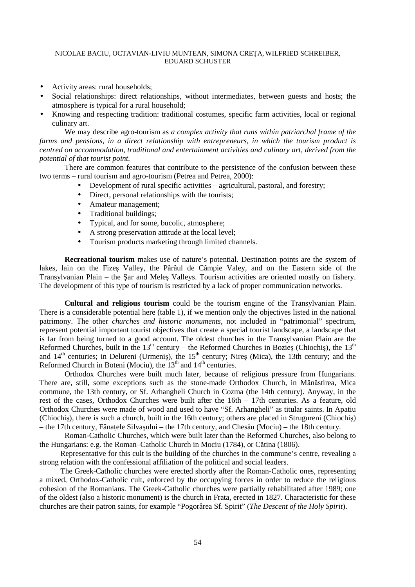#### NICOLAE BACIU, OCTAVIAN-LIVIU MUNTEAN, SIMONA CREȚA, WILFRIED SCHREIBER, EDUARD SCHUSTER

- Activity areas: rural households;
- Social relationships: direct relationships, without intermediates, between guests and hosts; the atmosphere is typical for a rural household;
- Knowing and respecting tradition: traditional costumes, specific farm activities, local or regional culinary art.

We may describe agro-tourism as *a complex activity that runs within patriarchal frame of the farms and pensions, in a direct relationship with entrepreneurs, in which the tourism product is centred on accommodation, traditional and entertainment activities and culinary art, derived from the potential of that tourist point.* 

There are common features that contribute to the persistence of the confusion between these two terms – rural tourism and agro-tourism (Petrea and Petrea, 2000):

- Development of rural specific activities agricultural, pastoral, and forestry;
- Direct, personal relationships with the tourists;
- Amateur management;
- Traditional buildings;
- Typical, and for some, bucolic, atmosphere;
- A strong preservation attitude at the local level;
- Tourism products marketing through limited channels.

**Recreational tourism** makes use of nature's potential. Destination points are the system of lakes, lain on the Fizeş Valley, the Pârâul de Câmpie Valey, and on the Eastern side of the Transylvanian Plain – the Şar and Meleş Valleys. Tourism activities are oriented mostly on fishery. The development of this type of tourism is restricted by a lack of proper communication networks.

**Cultural and religious tourism** could be the tourism engine of the Transylvanian Plain. There is a considerable potential here (table 1), if we mention only the objectives listed in the national patrimony. The other *churches and historic monuments*, not included in "patrimonial" spectrum, represent potential important tourist objectives that create a special tourist landscape, a landscape that is far from being turned to a good account. The oldest churches in the Transylvanian Plain are the Reformed Churches, built in the 13<sup>th</sup> century – the Reformed Churches in Bozies (Chiochis), the 13<sup>th</sup> and  $14<sup>th</sup>$  centuries; in Delureni (Urmeniş), the  $15<sup>th</sup>$  century; Nireş (Mica), the 13th century; and the Reformed Church in Boteni (Mociu), the  $13<sup>th</sup>$  and  $14<sup>th</sup>$  centuries.

Orthodox Churches were built much later, because of religious pressure from Hungarians. There are, still, some exceptions such as the stone-made Orthodox Church, in Mănăstirea, Mica commune, the 13th century, or Sf. Arhangheli Church in Cozma (the 14th century). Anyway, in the rest of the cases, Orthodox Churches were built after the 16th – 17th centuries. As a feature, old Orthodox Churches were made of wood and used to have "Sf. Arhangheli" as titular saints. In Apatiu (Chiochiş), there is such a church, built in the 16th century; others are placed in Strugureni (Chiochiş) – the 17th century, Fânațele Silvașului – the 17th century, and Chesău (Mociu) – the 18th century.

Roman-Catholic Churches, which were built later than the Reformed Churches, also belong to the Hungarians: e.g. the Roman–Catholic Church in Mociu (1784), or Cătina (1806).

Representative for this cult is the building of the churches in the commune's centre, revealing a strong relation with the confessional affiliation of the political and social leaders.

The Greek-Catholic churches were erected shortly after the Roman-Catholic ones, representing a mixed, Orthodox-Catholic cult, enforced by the occupying forces in order to reduce the religious cohesion of the Romanians. The Greek-Catholic churches were partially rehabilitated after 1989; one of the oldest (also a historic monument) is the church in Frata, erected in 1827. Characteristic for these churches are their patron saints, for example "Pogorârea Sf. Spirit" (*The Descent of the Holy Spirit*).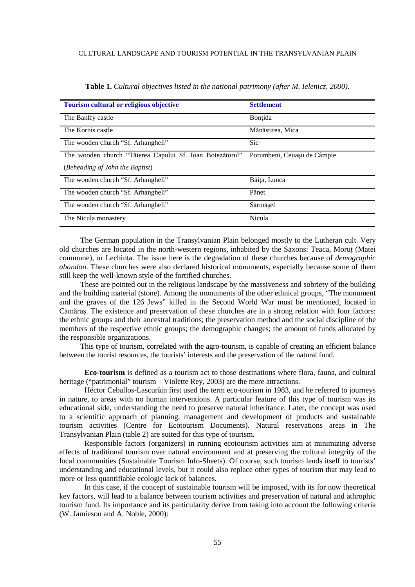| Tourism cultural or religious objective                  | <b>Settlement</b>           |
|----------------------------------------------------------|-----------------------------|
| The Banffy castle                                        | <b>Bontida</b>              |
| The Kornis castle                                        | Mănăstirea, Mica            |
| The wooden church "Sf. Arhangheli"                       | <b>Sic</b>                  |
| The wooden church "Tăierea Capului Sf. Ioan Botezătorul" | Porumbeni, Ceuașu de Câmpie |
| (Beheading of John the Baptist)                          |                             |
| The wooden church "Sf. Arhangheli"                       | Băita, Lunca                |
| The wooden church "Sf. Arhangheli"                       | Pănet                       |
| The wooden church "Sf. Arhangheli"                       | Sărmăsel                    |
| The Nicula monastery                                     | Nicula                      |

**Table 1.** *Cultural objectives listed in the national patrimony (after M. Ielenicz, 2000).* 

The German population in the Transylvanian Plain belonged mostly to the Lutheran cult. Very old churches are located in the north-western regions, inhabited by the Saxons: Teaca, Morut (Matei commune), or Lechinta. The issue here is the degradation of these churches because of *demographic abandon*. These churches were also declared historical monuments, especially because some of them still keep the well-known style of the fortified churches.

These are pointed out in the religious landscape by the massiveness and sobriety of the building and the building material (stone). Among the monuments of the other ethnical groups, "The monument and the graves of the 126 Jews" killed in the Second World War must be mentioned, located in Cămăraş. The existence and preservation of these churches are in a strong relation with four factors: the ethnic groups and their ancestral traditions; the preservation method and the social discipline of the members of the respective ethnic groups; the demographic changes; the amount of funds allocated by the responsible organizations.

This type of tourism, correlated with the agro-tourism, is capable of creating an efficient balance between the tourist resources, the tourists' interests and the preservation of the natural fund.

**Eco-tourism** is defined as a tourism act to those destinations where flora, fauna, and cultural heritage ("patrimonial" tourism – Violette Rey, 2003) are the mere attractions.

Héctor Ceballos-Lascuràin first used the term eco-tourism in 1983, and he referred to journeys in nature, to areas with no human interventions. A particular feature of this type of tourism was its educational side, understanding the need to preserve natural inheritance. Later, the concept was used to a scientific approach of planning, management and development of products and sustainable tourism activities (Centre for Ecotourism Documents). Natural reservations areas in The Transylvanian Plain (table 2) are suited for this type of tourism.

Responsible factors (organizers) in running ecotourism activities aim at minimizing adverse effects of traditional tourism over natural environment and at preserving the cultural integrity of the local communities (Sustainable Tourism Info-Sheets). Of course, such tourism lends itself to tourists' understanding and educational levels, but it could also replace other types of tourism that may lead to more or less quantifiable ecologic lack of balances.

In this case, if the concept of sustainable tourism will be imposed, with its for now theoretical key factors, will lead to a balance between tourism activities and preservation of natural and athrophic tourism fund. Its importance and its particularity derive from taking into account the following criteria (W. Jamieson and A. Noble, 2000):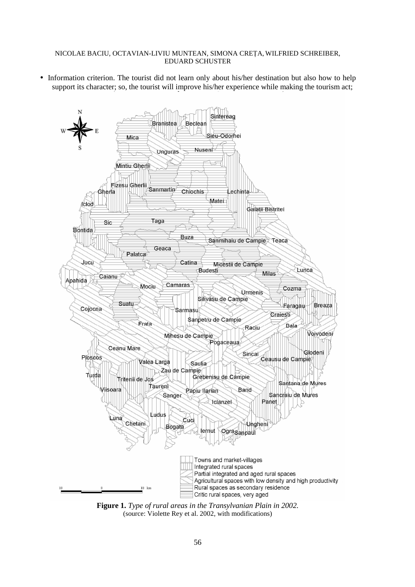#### NICOLAE BACIU, OCTAVIAN-LIVIU MUNTEAN, SIMONA CREȚA, WILFRIED SCHREIBER, EDUARD SCHUSTER

• Information criterion. The tourist did not learn only about his/her destination but also how to help support its character; so, the tourist will improve his/her experience while making the tourism act;



**Figure 1.** *Type of rural areas in the Transylvanian Plain in 2002.*  (source: Violette Rey et al. 2002, with modifications)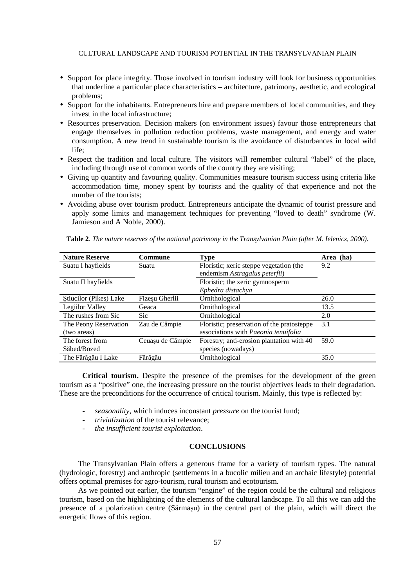#### CULTURAL LANDSCAPE AND TOURISM POTENTIAL IN THE TRANSYLVANIAN PLAIN

- Support for place integrity. Those involved in tourism industry will look for business opportunities that underline a particular place characteristics – architecture, patrimony, aesthetic, and ecological problems;
- Support for the inhabitants. Entrepreneurs hire and prepare members of local communities, and they invest in the local infrastructure;
- Resources preservation. Decision makers (on environment issues) favour those entrepreneurs that engage themselves in pollution reduction problems, waste management, and energy and water consumption. A new trend in sustainable tourism is the avoidance of disturbances in local wild life;
- Respect the tradition and local culture. The visitors will remember cultural "label" of the place, including through use of common words of the country they are visiting;
- Giving up quantity and favouring quality. Communities measure tourism success using criteria like accommodation time, money spent by tourists and the quality of that experience and not the number of the tourists;
- Avoiding abuse over tourism product. Entrepreneurs anticipate the dynamic of tourist pressure and apply some limits and management techniques for preventing "loved to death" syndrome (W. Jamieson and A Noble, 2000).

| <b>Nature Reserve</b>  | Commune          | <b>Type</b>                                | Area (ha) |
|------------------------|------------------|--------------------------------------------|-----------|
| Suatu I hayfields      | Suatu            | Floristic; xeric steppe vegetation (the    | 9.2       |
|                        |                  | endemism Astragalus peterfii)              |           |
| Suatu II hayfields     |                  | Floristic; the xeric gymnosperm            |           |
|                        |                  | Ephedra distachya                          |           |
| Stiucilor (Pikes) Lake | Fizeșu Gherlii   | Ornithological                             | 26.0      |
| Legiilor Valley        | Geaca            | Ornithological                             | 13.5      |
| The rushes from Sic    | Sic              | Ornithological                             | 2.0       |
| The Peony Reservation  | Zau de Câmpie    | Floristic; preservation of the pratosteppe | 3.1       |
| (two areas)            |                  | associations with Paeonia tenuifolia       |           |
| The forest from        | Ceuașu de Câmpie | Forestry; anti-erosion plantation with 40  | 59.0      |
| Săbed/Bozed            |                  | species (nowadays)                         |           |
| The Fărăgău I Lake     | Fărăgău          | Ornithological                             | 35.0      |

**Table 2**. *The nature reserves of the national patrimony in the Transylvanian Plain (after M. Ielenicz, 2000).*

**Critical tourism.** Despite the presence of the premises for the development of the green tourism as a "positive" one, the increasing pressure on the tourist objectives leads to their degradation. These are the preconditions for the occurrence of critical tourism. Mainly, this type is reflected by:

- *seasonality*, which induces inconstant *pressure* on the tourist fund;
- *trivialization* of the tourist relevance;
- *the insufficient tourist exploitation*.

### **CONCLUSIONS**

The Transylvanian Plain offers a generous frame for a variety of tourism types. The natural (hydrologic, forestry) and anthropic (settlements in a bucolic milieu and an archaic lifestyle) potential offers optimal premises for agro-tourism, rural tourism and ecotourism.

As we pointed out earlier, the tourism "engine" of the region could be the cultural and religious tourism, based on the highlighting of the elements of the cultural landscape. To all this we can add the presence of a polarization centre (Sărmaşu) in the central part of the plain, which will direct the energetic flows of this region.